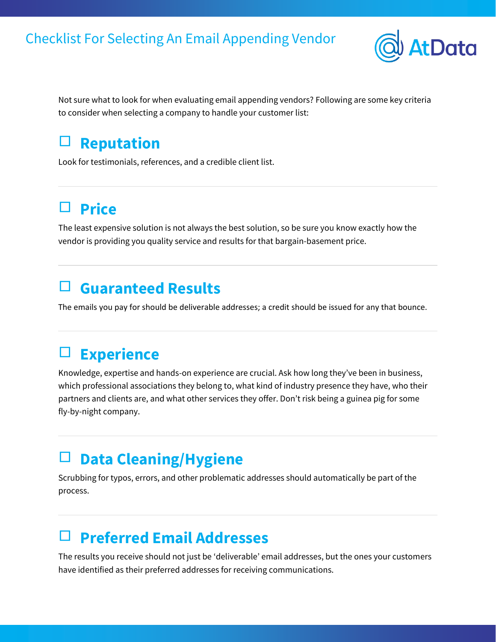

Not sure what to look for when evaluating email appending vendors? Following are some key criteria to consider when selecting a company to handle your customer list:

## □ **Reputation**

Look for testimonials, references, and a credible client list.

# □ **Price**

The least expensive solution is not always the best solution, so be sure you know exactly how the vendor is providing you quality service and results for that bargain-basement price.

#### □ **Guaranteed Results**

The emails you pay for should be deliverable addresses; a credit should be issued for any that bounce.

## □ **Experience**

Knowledge, expertise and hands-on experience are crucial. Ask how long they've been in business, which professional associations they belong to, what kind of industry presence they have, who their partners and clients are, and what other services they offer. Don't risk being a guinea pig for some fly-by-night company.

## □ **Data Cleaning/Hygiene**

Scrubbing for typos, errors, and other problematic addresses should automatically be part of the process.

## □ **Preferred Email Addresses**

The results you receive should not just be 'deliverable' email addresses, but the ones your customers have identified as their preferred addresses for receiving communications.